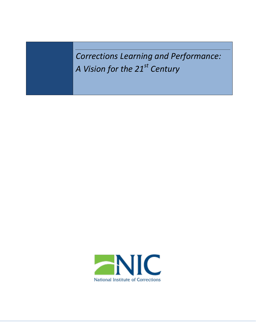*Corrections Learning and Performance: A Vision for the 21st Century* 

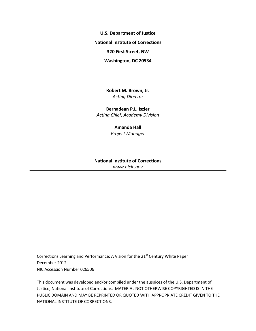**U.S. Department of Justice**

**National Institute of Corrections**

**320 First Street, NW**

**Washington, DC 20534**

**Robert M. Brown, Jr.** *Acting Director*

**Bernadean P.L. Iszler** *Acting Chief, Academy Division*

### **Amanda Hall**

*Project Manager*

### **National Institute of Corrections** *[www.nicic.gov](file:///C:/Documents%20and%20Settings/BOP37846/Local%20Settings/Temp/GWViewer/www.nicic.gov)*

Corrections Learning and Performance: A Vision for the 21<sup>st</sup> Century White Paper December 2012 NIC Accession Number 026506

This document was developed and/or compiled under the auspices of the U.S. Department of Justice, National Institute of Corrections. MATERIAL NOT OTHERWISE COPYRIGHTED IS IN THE PUBLIC DOMAIN AND MAY BE REPRINTED OR QUOTED WITH APPROPRIATE CREDIT GIVEN TO THE NATIONAL INSTITUTE OF CORRECTIONS.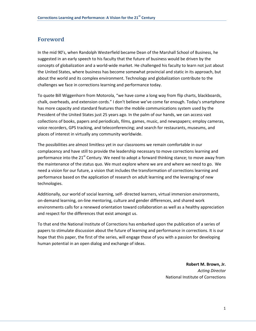# <span id="page-2-0"></span>**Foreword**

In the mid 90's, when Randolph Westerfield became Dean of the Marshall School of Business, he suggested in an early speech to his faculty that the future of business would be driven by the concepts of globalization and a world-wide market. He challenged his faculty to learn not just about the United States, where business has become somewhat provincial and static in its approach, but about the world and its complex environment. Technology and globalization contribute to the challenges we face in corrections learning and performance today.

To quote Bill Wiggenhorn from Motorola, "we have come a long way from flip charts, blackboards, chalk, overheads, and extension cords." I don't believe we've come far enough. Today's smartphone has more capacity and standard features than the mobile communications system used by the President of the United States just 25 years ago. In the palm of our hands, we can access vast collections of books, papers and periodicals, films, games, music, and newspapers; employ cameras, voice recorders, GPS tracking, and teleconferencing; and search for restaurants, museums, and places of interest in virtually any community worldwide.

The possibilities are almost limitless yet in our classrooms we remain comfortable in our complacency and have still to provide the leadership necessary to move corrections learning and performance into the  $21<sup>st</sup>$  Century. We need to adopt a forward thinking stance; to move away from the maintenance of the status quo. We must explore where we are and where we need to go. We need a vision for our future, a vision that includes the transformation of corrections learning and performance based on the application of research on adult learning and the leveraging of new technologies.

Additionally, our world of social learning, self- directed learners, virtual immersion environments, on-demand learning, on-line mentoring, culture and gender differences, and shared work environments calls for a renewed orientation toward collaboration as well as a healthy appreciation and respect for the differences that exist amongst us.

To that end the National Institute of Corrections has embarked upon the publication of a series of papers to stimulate discussion about the future of learning and performance in corrections. It is our hope that this paper, the first of the series, will engage those of you with a passion for developing human potential in an open dialog and exchange of ideas.

> **Robert M. Brown, Jr.** *Acting Director* National Institute of Corrections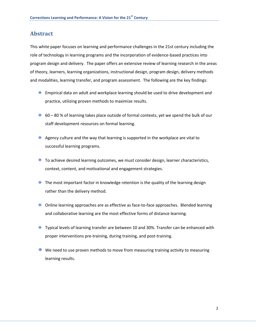# <span id="page-3-0"></span>**Abstract**

This white paper focuses on learning and performance challenges in the 21st century including the role of technology in learning programs and the incorporation of evidence-based practices into program design and delivery. The paper offers an extensive review of learning research in the areas of theory, learners, learning organizations, instructional design, program design, delivery methods and modalities, learning transfer, and program assessment. The following are the key findings:

- $\triangleq$  Empirical data on adult and workplace learning should be used to drive development and practice, utilizing proven methods to maximize results.
- $\div$  60 80 % of learning takes place outside of formal contexts, yet we spend the bulk of our staff development resources on formal learning.
- $\triangleq$  Agency culture and the way that learning is supported in the workplace are vital to successful learning programs.
- $\triangleq$  To achieve desired learning outcomes, we must consider design, learner characteristics, context, content, and motivational and engagement strategies.
- $\triangle$  The most important factor in knowledge retention is the quality of the learning design rather than the delivery method.
- $\triangle$  Online learning approaches are as effective as face-to-face approaches. Blended learning and collaborative learning are the most effective forms of distance learning.
- $\triangle$  Typical levels of learning transfer are between 10 and 30%. Transfer can be enhanced with proper interventions pre-training, during training, and post-training.
- $\bigoplus$  We need to use proven methods to move from measuring training activity to measuring learning results.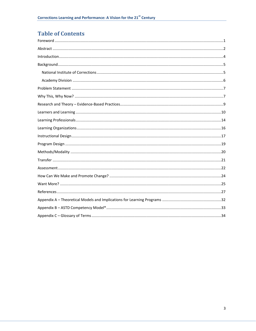# **Table of Contents**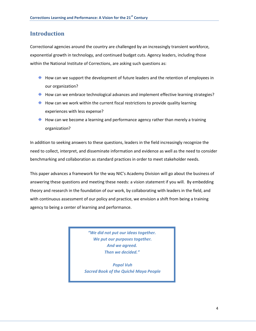# <span id="page-5-0"></span>**Introduction**

Correctional agencies around the country are challenged by an increasingly transient workforce, exponential growth in technology, and continued budget cuts. Agency leaders, including those within the National Institute of Corrections, are asking such questions as:

- $\triangle$  How can we support the development of future leaders and the retention of employees in our organization?
- $\triangle$  How can we embrace technological advances and implement effective learning strategies?
- $\triangle$  How can we work within the current fiscal restrictions to provide quality learning experiences with less expense?
- $\triangle$  How can we become a learning and performance agency rather than merely a training organization?

In addition to seeking answers to these questions, leaders in the field increasingly recognize the need to collect, interpret, and disseminate information and evidence as well as the need to consider benchmarking and collaboration as standard practices in order to meet stakeholder needs.

This paper advances a framework for the way NIC's Academy Division will go about the business of answering these questions and meeting these needs: a vision statement if you will. By embedding theory and research in the foundation of our work, by collaborating with leaders in the field, and with continuous assessment of our policy and practice, we envision a shift from being a training agency to being a center of learning and performance.

> *"We did not put our ideas together. We put our purposes together. And we agreed. Then we decided."*

*Popol Vuh Sacred Book of the Quiché Maya People*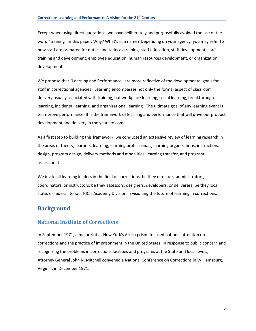Except when using direct quotations, we have deliberately and purposefully avoided the use of the word "training" in this paper. Why? What's in a name? Depending on your agency, you may refer to how staff are prepared for duties and tasks as training, staff education, staff development, staff training and development, employee education, human resources development, or organization development.

We propose that "Learning and Performance" are more reflective of the developmental goals for staff in correctional agencies. Learning encompasses not only the formal aspect of classroom delivery usually associated with training, but workplace learning, social learning, breakthrough learning, incidental learning, and organizational learning. The ultimate goal of any learning event is to improve performance. It is the framework of learning and performance that will drive our product development and delivery in the years to come.

As a first step to building this framework, we conducted an extensive review of learning research in the areas of theory, learners, learning, learning professionals, learning organizations, instructional design, program design, delivery methods and modalities, learning transfer, and program assessment.

We invite all learning leaders in the field of corrections, be they directors, administrators, coordinators, or instructors; be they assessors, designers, developers, or deliverers; be they local, state, or federal, to join NIC's Academy Division in visioning the future of learning in corrections.

# <span id="page-6-0"></span>**Background**

### <span id="page-6-1"></span>**National Institute of Corrections**

In September 1971, a major riot at New York's Attica prison focused national attention on corrections and the practice of imprisonment in the United States. In response to public concern and recognizing the problems in corrections facilities and programs at the State and local levels, Attorney General John N. Mitchell convened a National Conference on Corrections in Williamsburg, Virginia, in December 1971.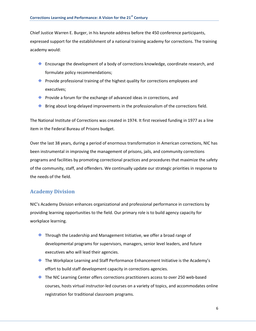Chief Justice Warren E. Burger, in his keynote address before the 450 conference participants, expressed support for the establishment of a national training academy for corrections. The training academy would:

- $\triangleq$  Encourage the development of a body of corrections knowledge, coordinate research, and formulate policy recommendations;
- $\triangle$  Provide professional training of the highest quality for corrections employees and executives;
- $\triangle$  Provide a forum for the exchange of advanced ideas in corrections, and
- $\triangleq$  Bring about long-delayed improvements in the professionalism of the corrections field.

The National Institute of Corrections was created in 1974. It first received funding in 1977 as a line item in the Federal Bureau of Prisons budget.

Over the last 38 years, during a period of enormous transformation in American corrections, NIC has been instrumental in improving the management of prisons, jails, and community corrections programs and facilities by promoting correctional practices and procedures that maximize the safety of the community, staff, and offenders. We continually update our strategic priorities in response to the needs of the field.

### <span id="page-7-0"></span>**Academy Division**

NIC's Academy Division enhances organizational and professional performance in corrections by providing learning opportunities to the field. Our primary role is to build agency capacity for workplace learning.

- $\triangleq$  Through the Leadership and Management Initiative, we offer a broad range of developmental programs for supervisors, managers, senior level leaders, and future executives who will lead their agencies.
- $\triangleq$  The Workplace Learning and Staff Performance Enhancement Initiative is the Academy's effort to build staff development capacity in corrections agencies.
- $\triangleq$  The NIC Learning Center offers corrections practitioners access to over 250 web-based courses, hosts virtual instructor-led courses on a variety of topics, and accommodates online registration for traditional classroom programs.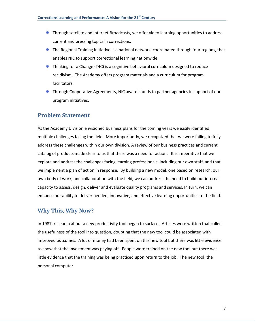- $\triangle$  Through satellite and Internet Broadcasts, we offer video learning opportunities to address current and pressing topics in corrections.
- $\triangleq$  The Regional Training Initiative is a national network, coordinated through four regions, that enables NIC to support correctional learning nationwide.
- $\triangle$  Thinking for a Change (T4C) is a cognitive behavioral curriculum designed to reduce recidivism. The Academy offers program materials and a curriculum for program facilitators.
- $\triangleq$  Through Cooperative Agreements, NIC awards funds to partner agencies in support of our program initiatives.

## <span id="page-8-0"></span>**Problem Statement**

As the Academy Division envisioned business plans for the coming years we easily identified multiple challenges facing the field. More importantly, we recognized that we were failing to fully address these challenges within our own division. A review of our business practices and current catalog of products made clear to us that there was a need for action. It is imperative that we explore and address the challenges facing learning professionals, including our own staff, and that we implement a plan of action in response. By building a new model, one based on research, our own body of work, and collaboration with the field, we can address the need to build our internal capacity to assess, design, deliver and evaluate quality programs and services. In turn, we can enhance our ability to deliver needed, innovative, and effective learning opportunities to the field.

### <span id="page-8-1"></span>**Why This, Why Now?**

In 1987, research about a new productivity tool began to surface. Articles were written that called the usefulness of the tool into question, doubting that the new tool could be associated with improved outcomes. A lot of money had been spent on this new tool but there was little evidence to show that the investment was paying off. People were trained on the new tool but there was little evidence that the training was being practiced upon return to the job. The new tool: the personal computer.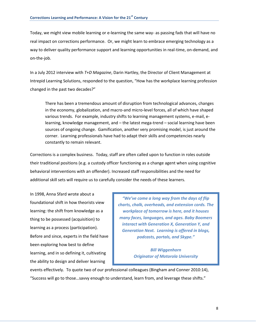Today, we might view mobile learning or e-learning the same way- as passing fads that will have no real impact on corrections performance. Or, we might learn to embrace emerging technology as a way to deliver quality performance support and learning opportunities in real-time, on-demand, and on-the-job.

In a July 2012 interview with *T+D Magazine*, Darin Hartley, the Director of Client Management at Intrepid Learning Solutions, responded to the question, "How has the workplace learning profession changed in the past two decades?"

There has been a tremendous amount of disruption from technological advances, changes in the economy, globalization, and macro-and micro-level forces, all of which have shaped various trends. For example, industry shifts to learning management systems, e-mail, elearning, knowledge management, and – the latest mega-trend – social learning have been sources of ongoing change. Gamification, another very promising model, is just around the corner. Learning professionals have had to adapt their skills and competencies nearly constantly to remain relevant.

Corrections is a complex business. Today, staff are often called upon to function in roles outside their traditional positions (e.g. a custody officer functioning as a change agent when using cognitive behavioral interventions with an offender). Increased staff responsibilities and the need for additional skill sets will require us to carefully consider the needs of these learners.

In 1998, Anna Sfard wrote about a foundational shift in how theorists view learning: the shift from knowledge as a thing to be possessed (acquisition) to learning as a process (participation). Before and since, experts in the field have been exploring how best to define learning, and in so defining it, cultivating the ability to design and deliver learning

*"We've come a long way from the days of flip charts, chalk, overheads, and extension cords. The workplace of tomorrow is here, and it houses many faces, languages, and ages. Baby Boomers interact with Generation X, Generation Y, and Generation Next. Learning is offered in blogs, podcasts, portals, and Skype."*

> *Bill Wiggenhorn Originator of Motorola University*

events effectively. To quote two of our professional colleagues (Bingham and Conner 2010:14), "Success will go to those…savvy enough to understand, learn from, and leverage these shifts."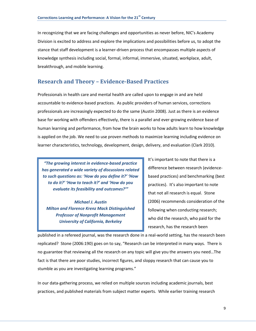In recognizing that we are facing challenges and opportunities as never before, NIC's Academy Division is excited to address and explore the implications and possibilities before us, to adopt the stance that staff development is a learner-driven process that encompasses multiple aspects of knowledge synthesis including social, formal, informal, immersive, situated, workplace, adult, breakthrough, and mobile learning.

### <span id="page-10-0"></span>**Research and Theory – Evidence-Based Practices**

Professionals in health care and mental health are called upon to engage in and are held accountable to evidence-based practices. As public providers of human services, corrections professionals are increasingly expected to do the same (Austin 2008). Just as there is an evidence base for working with offenders effectively, there is a parallel and ever-growing evidence base of human learning and performance, from how the brain works to how adults learn to how knowledge is applied on the job. We need to use proven methods to maximize learning including evidence on learner characteristics, technology, development, design, delivery, and evaluation (Clark 2010).

*"The growing interest in evidence-based practice has generated a wide variety of discussions related to such questions as: 'How do you define it?' 'How to do it?' 'How to teach it?' and 'How do you evaluate its feasibility and outcomes?'"*

*Michael J. Austin Milton and Florence Krenz Mack Distinguished Professor of Nonprofit Management University of California, Berkeley*

It's important to note that there is a difference between research (evidencebased practices) and benchmarking (best practices). It's also important to note that not all research is equal. Stone (2006) recommends consideration of the following when conducting research; who did the research, who paid for the research, has the research been

published in a refereed journal, was the research done in a real-world setting, has the research been replicated? Stone (2006:190) goes on to say, "Research can be interpreted in many ways. There is no guarantee that reviewing all the research on any topic will give you the answers you need…The fact is that there are poor studies, incorrect figures, and sloppy research that can cause you to stumble as you are investigating learning programs."

In our data-gathering process, we relied on multiple sources including academic journals, best practices, and published materials from subject matter experts. While earlier training research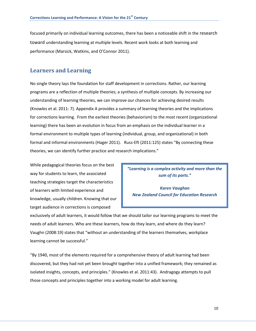focused primarily on individual learning outcomes, there has been a noticeable shift in the research toward understanding learning at multiple levels. Recent work looks at both learning and performance (Marsick, Watkins, and O'Connor 2011).

### <span id="page-11-0"></span>**Learners and Learning**

No single theory lays the foundation for staff development in corrections. Rather, our learning programs are a reflection of multiple theories; a synthesis of multiple concepts. By increasing our understanding of learning theories, we can improve our chances for achieving desired results (Knowles et al. 2011: 7). Appendix A provides a summary of learning theories and the implications for corrections learning. From the earliest theories (behaviorism) to the most recent (organizational learning) there has been an evolution in focus from an emphasis on the individual learner in a formal environment to multiple types of learning (individual, group, and organizational) in both formal and informal environments (Hager 2011). Russ-Eft (2011:125) states "By connecting these theories, we can identify further practice and research implications."

While pedagogical theories focus on the best way for students to learn, the associated teaching strategies target the characteristics of learners with limited experience and knowledge, usually children. Knowing that our target audience in corrections is composed

*"Learning is a complex activity and more than the sum of its parts."*

*Karen Vaughan New Zealand Council for Education Research*

exclusively of adult learners, it would follow that we should tailor our learning programs to meet the needs of adult learners. Who are these learners, how do they learn, and where do they learn? Vaughn (2008:19) states that "without an understanding of the learners themselves, workplace learning cannot be successful."

"By 1940, most of the elements required for a comprehensive theory of adult learning had been discovered, but they had not yet been brought together into a unified framework; they remained as isolated insights, concepts, and principles." (Knowles et al. 2011:43). Andragogy attempts to pull those concepts and principles together into a working model for adult learning.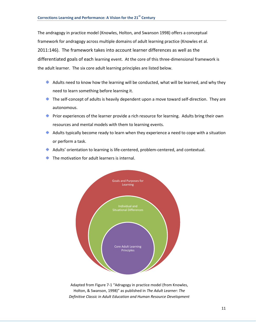The andragogy in practice model (Knowles, Holton, and Swanson 1998) offers a conceptual framework for andragogy across multiple domains of adult learning practice (Knowles et al. 2011:146). The framework takes into account learner differences as well as the differentiated goals of each learning event. At the core of this three-dimensional framework is the adult learner. The six core adult learning principles are listed below.

- $\triangleq$  Adults need to know how the learning will be conducted, what will be learned, and why they need to learn something before learning it.
- $\triangleq$  The self-concept of adults is heavily dependent upon a move toward self-direction. They are autonomous.
- $\triangle$  Prior experiences of the learner provide a rich resource for learning. Adults bring their own resources and mental models with them to learning events.
- $\triangleq$  Adults typically become ready to learn when they experience a need to cope with a situation or perform a task.
- $\triangleq$  Adults' orientation to learning is life-centered, problem-centered, and contextual.
- $\bigoplus$  The motivation for adult learners is internal.



Adapted from Figure 7-1 "Adragogy in practice model (from Knowles, Holton, & Swanson, 1998)" as published in *The Adult Learner: The Definitive Classic in Adult Education and Human Resource Development*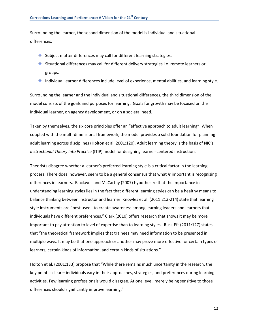Surrounding the learner, the second dimension of the model is individual and situational differences.

- $\triangleq$  Subject matter differences may call for different learning strategies.
- $\triangleq$  Situational differences may call for different delivery strategies i.e. remote learners or groups.
- $\bigoplus$  Individual learner differences include level of experience, mental abilities, and learning style.

Surrounding the learner and the individual and situational differences, the third dimension of the model consists of the goals and purposes for learning. Goals for growth may be focused on the individual learner, on agency development, or on a societal need.

Taken by themselves, the six core principles offer an "effective approach to adult learning". When coupled with the multi-dimensional framework, the model provides a solid foundation for planning adult learning across disciplines (Holton et al. 2001:120). Adult learning theory is the basis of NIC's *Instructional Theory into Practice* (ITIP) model for designing learner-centered instruction.

Theorists disagree whether a learner's preferred learning style is a critical factor in the learning process. There does, however, seem to be a general consensus that what *is* important is recognizing differences in learners. Blackwell and McCarthy (2007) hypothesize that the importance in understanding learning styles lies in the fact that different learning styles can be a healthy means to balance thinking between instructor and learner. Knowles et al. (2011:213-214) state that learning style instruments are "best used…to create awareness among learning leaders and learners that individuals have different preferences." Clark (2010) offers research that shows it may be more important to pay attention to level of expertise than to learning styles. Russ-Eft (2011:127) states that "the theoretical framework implies that trainees may need information to be presented in multiple ways. It may be that one approach or another may prove more effective for certain types of learners, certain kinds of information, and certain kinds of situations."

Holton et al. (2001:133) propose that "While there remains much uncertainty in the research, the key point is clear – individuals vary in their approaches, strategies, and preferences during learning activities. Few learning professionals would disagree. At one level, merely being sensitive to those differences should significantly improve learning."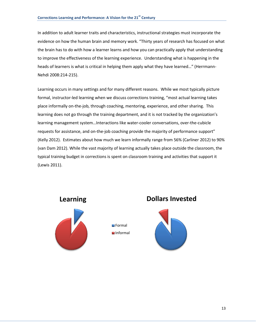In addition to adult learner traits and characteristics, instructional strategies must incorporate the evidence on how the human brain and memory work. "Thirty years of research has focused on what the brain has to do with how a learner learns and how you can practically apply that understanding to improve the effectiveness of the learning experience. Understanding what is happening in the heads of learners is what is critical in helping them apply what they have learned…" (Herrmann-Nehdi 2008:214-215).

Learning occurs in many settings and for many different reasons. While we most typically picture formal, instructor-led learning when we discuss corrections training, "most actual learning takes place informally on-the-job, through coaching, mentoring, experience, and other sharing. This learning does not go through the training department, and it is not tracked by the organization's learning management system…Interactions like water-cooler conversations, over-the-cubicle requests for assistance, and on-the-job coaching provide the majority of performance support" (Kelly 2012). Estimates about how much we learn informally range from 56% (Carliner 2012) to 90% (van Dam 2012). While the vast majority of learning actually takes place outside the classroom, the typical training budget in corrections is spent on classroom training and activities that support it (Lewis 2011).

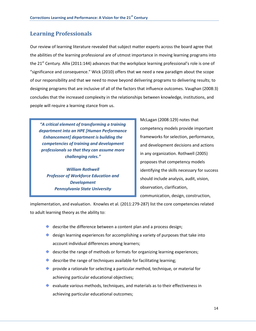# <span id="page-15-0"></span>**Learning Professionals**

Our review of learning literature revealed that subject matter experts across the board agree that the abilities of the learning professional are of utmost importance in moving learning programs into the 21<sup>st</sup> Century. Allix (2011:144) advances that the workplace learning professional's role is one of "significance and consequence." Wick (2010) offers that we need a new paradigm about the scope of our responsibility and that we need to move beyond delivering programs to delivering results; to designing programs that are inclusive of all of the factors that influence outcomes. Vaughan (2008:3) concludes that the increased complexity in the relationships between knowledge, institutions, and people will require a learning stance from us.

*"A critical element of transforming a training department into an HPE [Human Performance Enhancement] department is building the competencies of training and development professionals so that they can assume more challenging roles."* 

*William Rothwell Professor of Workforce Education and Development Pennsylvania State University*

McLagan (2008:129) notes that competency models provide important frameworks for selection, performance, and development decisions and actions in any organization. Rothwell (2005) proposes that competency models identifying the skills necessary for success should include analysis, audit, vision, observation, clarification, communication, design, construction,

implementation, and evaluation. Knowles et al. (2011:279-287) list the core competencies related to adult learning theory as the ability to:

- $\triangleq$  describe the difference between a content plan and a process design;
- $\triangleq$  design learning experiences for accomplishing a variety of purposes that take into account individual differences among learners;
- $\triangleq$  describe the range of methods or formats for organizing learning experiences;
- $\triangleq$  describe the range of techniques available for facilitating learning;
- provide a rationale for selecting a particular method, technique, or material for  $\bigoplus$ achieving particular educational objectives;
- evaluate various methods, techniques, and materials as to their effectiveness in achieving particular educational outcomes;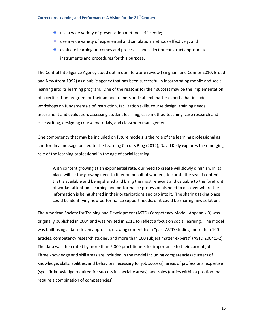- $\bigoplus$ use a wide variety of presentation methods efficiently;
- use a wide variety of experiential and simulation methods effectively, and
- $\triangleq$  evaluate learning outcomes and processes and select or construct appropriate instruments and procedures for this purpose.

The Central Intelligence Agency stood out in our literature review (Bingham and Conner 2010; Broad and Newstrom 1992) as a public agency that has been successful in incorporating mobile and social learning into its learning program. One of the reasons for their success may be the implementation of a certification program for their ad hoc trainers and subject matter experts that includes workshops on fundamentals of instruction, facilitation skills, course design, training needs assessment and evaluation, assessing student learning, case method teaching, case research and case writing, designing course materials, and classroom management.

One competency that may be included on future models is the role of the learning professional as curator. In a message posted to the Learning Circuits Blog (2012), David Kelly explores the emerging role of the learning professional in the age of social learning.

With content growing at an exponential rate, our need to create will slowly diminish. In its place will be the growing need to filter on behalf of workers; to curate the sea of content that is available and being shared and bring the most relevant and valuable to the forefront of worker attention. Learning and performance professionals need to discover where the information is being shared in their organizations and tap into it. The sharing taking place could be identifying new performance support needs, or it could be sharing new solutions.

The American Society for Training and Development (ASTD) Competency Model (Appendix B) was originally published in 2004 and was revised in 2011 to reflect a focus on social learning. The model was built using a data-driven approach, drawing content from "past ASTD studies, more than 100 articles, competency research studies, and more than 100 subject matter experts" (ASTD 2004:1-2). The data was then rated by more than 2,000 practitioners for importance to their current jobs. Three knowledge and skill areas are included in the model including competencies (clusters of knowledge, skills, abilities, and behaviors necessary for job success), areas of professional expertise (specific knowledge required for success in specialty areas), and roles (duties within a position that require a combination of competencies).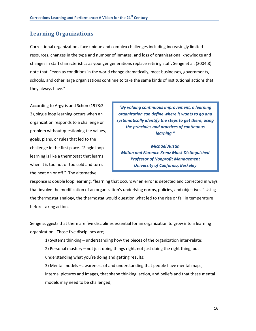# <span id="page-17-0"></span>**Learning Organizations**

Correctional organizations face unique and complex challenges including increasingly limited resources, changes in the type and number of inmates, and loss of organizational knowledge and changes in staff characteristics as younger generations replace retiring staff. Senge et al. (2004:8) note that, "even as conditions in the world change dramatically, most businesses, governments, schools, and other large organizations continue to take the same kinds of institutional actions that they always have."

According to Argyris and Schön (1978:2- 3), single loop learning occurs when an organization responds to a challenge or problem without questioning the values, goals, plans, or rules that led to the challenge in the first place. "Single loop learning is like a thermostat that learns when it is too hot or too cold and turns the heat on or off." The alternative

*"By valuing continuous improvement, a learning organization can define where it wants to go and systematically identify the steps to get there, using the principles and practices of continuous learning."* 

*Michael Austin Milton and Florence Krenz Mack Distinguished Professor of Nonprofit Management University of California, Berkeley*

response is double loop learning: "learning that occurs when error is detected and corrected in ways that involve the modification of an organization's underlying norms, policies, and objectives." Using the thermostat analogy, the thermostat would question what led to the rise or fall in temperature before taking action.

Senge suggests that there are five disciplines essential for an organization to grow into a learning organization. Those five disciplines are;

1) Systems thinking – understanding how the pieces of the organization inter-relate;

2) Personal mastery – not just doing things right, not just doing the right thing, but understanding what you're doing and getting results;

3) Mental models – awareness of and understanding that people have mental maps, internal pictures and images, that shape thinking, action, and beliefs and that these mental models may need to be challenged;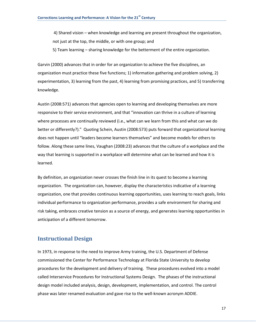4) Shared vision – when knowledge and learning are present throughout the organization, not just at the top, the middle, or with one group; and

5) Team learning – sharing knowledge for the betterment of the entire organization.

Garvin (2000) advances that in order for an organization to achieve the five disciplines, an organization must practice these five functions; 1) information gathering and problem solving, 2) experimentation, 3) learning from the past, 4) learning from promising practices, and 5) transferring knowledge.

Austin (2008:571) advances that agencies open to learning and developing themselves are more responsive to their service environment, and that "innovation can thrive in a culture of learning where processes are continually reviewed (i.e., what can we learn from this and what can we do better or differently?)." Quoting Schein, Austin (2008:573) puts forward that organizational learning does not happen until "leaders become learners themselves" and become models for others to follow. Along these same lines, Vaughan (2008:23) advances that the culture of a workplace and the way that learning is supported in a workplace will determine what can be learned and how it is learned.

By definition, an organization never crosses the finish line in its quest to become a learning organization. The organization can, however, display the characteristics indicative of a learning organization, one that provides continuous learning opportunities, uses learning to reach goals, links individual performance to organization performance, provides a safe environment for sharing and risk taking, embraces creative tension as a source of energy, and generates learning opportunities in anticipation of a different tomorrow.

### <span id="page-18-0"></span>**Instructional Design**

In 1973, in response to the need to improve Army training, the U.S. Department of Defense commissioned the Center for Performance Technology at Florida State University to develop procedures for the development and delivery of training. These procedures evolved into a model called Interservice Procedures for Instructional Systems Design. The phases of the instructional design model included analysis, design, development, implementation, and control. The control phase was later renamed evaluation and gave rise to the well-known acronym ADDIE.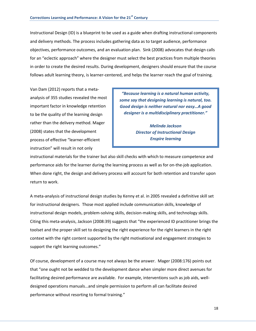Instructional Design (ID) is a blueprint to be used as a guide when drafting instructional components and delivery methods. The process includes gathering data as to target audience, performance objectives, performance outcomes, and an evaluation plan. Sink (2008) advocates that design calls for an "eclectic approach" where the designer must select the best practices from multiple theories in order to create the desired results. During development, designers should ensure that the course follows adult learning theory, is learner-centered, and helps the learner reach the goal of training.

Van Dam (2012) reports that a metaanalysis of 355 studies revealed the most important factor in knowledge retention to be the quality of the learning design rather than the delivery method. Mager (2008) states that the development process of effective "learner-efficient instruction" will result in not only

*"Because learning is a natural human activity, some say that designing learning is natural, too. Good design is neither natural nor easy…A good designer is a multidisciplinary practitioner."* 

> *Melinda Jackson Director of Instructional Design Enspire learning*

instructional materials for the trainer but also skill checks with which to measure competence and performance aids for the learner during the learning process as well as for on-the-job application. When done right, the design and delivery process will account for both retention and transfer upon return to work.

A meta-analysis of instructional design studies by Kenny et al. in 2005 revealed a definitive skill set for instructional designers. Those most applied include communication skills, knowledge of instructional design models, problem-solving skills, decision-making skills, and technology skills. Citing this meta-analysis, Jackson (2008:39) suggests that "the experienced ID practitioner brings the toolset and the proper skill set to designing the right experience for the right learners in the right context with the right content supported by the right motivational and engagement strategies to support the right learning outcomes."

Of course, development of a course may not always be the answer. Mager (2008:176) points out that "one ought not be wedded to the development dance when simpler more direct avenues for facilitating desired performance are available. For example, interventions such as job aids, welldesigned operations manuals…and simple permission to perform all can facilitate desired performance without resorting to formal training."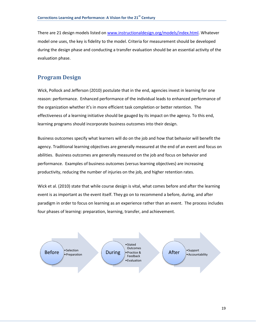There are 21 design models listed o[n www.instructionaldesign.org/models/index.html.](http://www.instructionaldesign.org/models/index.html) Whatever model one uses, the key is fidelity to the model. Criteria for measurement should be developed during the design phase and conducting a transfer evaluation should be an essential activity of the evaluation phase.

## <span id="page-20-0"></span>**Program Design**

Wick, Pollock and Jefferson (2010) postulate that in the end, agencies invest in learning for one reason: performance. Enhanced performance of the individual leads to enhanced performance of the organization whether it's in more efficient task completion or better retention. The effectiveness of a learning initiative should be gauged by its impact on the agency. To this end, learning programs should incorporate business outcomes into their design.

Business outcomes specify what learners will do on the job and how that behavior will benefit the agency. Traditional learning objectives are generally measured at the end of an event and focus on abilities. Business outcomes are generally measured on the job and focus on behavior and performance. Examples of business outcomes (versus learning objectives) are increasing productivity, reducing the number of injuries on the job, and higher retention rates.

Wick et al. (2010) state that while course design is vital, what comes before and after the learning event is as important as the event itself. They go on to recommend a before, during, and after paradigm in order to focus on learning as an experience rather than an event. The process includes four phases of learning: preparation, learning, transfer, and achievement.

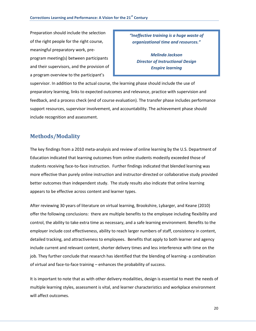Preparation should include the selection of the right people for the right course, meaningful preparatory work, preprogram meeting(s) between participants and their supervisors, and the provision of a program overview to the participant's

*"Ineffective training is a huge waste of organizational time and resources."* 

*Melinda Jackson Director of Instructional Design Enspire learning*

supervisor. In addition to the actual course, the learning phase should include the use of preparatory learning, links to expected outcomes and relevance, practice with supervision and feedback, and a process check (end of course evaluation). The transfer phase includes performance support resources, supervisor involvement, and accountability. The achievement phase should include recognition and assessment.

# <span id="page-21-0"></span>**Methods/Modality**

The key findings from a 2010 meta-analysis and review of online learning by the U.S. Department of Education indicated that learning outcomes from online students modestly exceeded those of students receiving face-to-face instruction. Further findings indicated that blended learning was more effective than purely online instruction and instructor-directed or collaborative study provided better outcomes than independent study. The study results also indicate that online learning appears to be effective across content and learner types.

After reviewing 30 years of literature on virtual learning, Brookshire, Lybarger, and Keane (2010) offer the following conclusions: there are multiple benefits to the employee including flexibility and control, the ability to take extra time as necessary, and a safe learning environment. Benefits to the employer include cost effectiveness, ability to reach larger numbers of staff, consistency in content, detailed tracking, and attractiveness to employees. Benefits that apply to both learner and agency include current and relevant content, shorter delivery times and less interference with time on the job. They further conclude that research has identified that the blending of learning- a combination of virtual and face-to-face training – enhances the probability of success.

It is important to note that as with other delivery modalities, design is essential to meet the needs of multiple learning styles, assessment is vital, and learner characteristics and workplace environment will affect outcomes.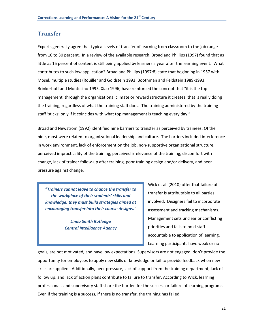### <span id="page-22-0"></span>**Transfer**

Experts generally agree that typical levels of transfer of learning from classroom to the job range from 10 to 30 percent. In a review of the available research, Broad and Phillips (1997) found that as little as 15 percent of content is still being applied by learners a year after the learning event. What contributes to such low application? Broad and Phillips (1997:8) state that beginning in 1957 with Mosel, multiple studies (Rouiller and Goldstein 1993, Boothman and Feldstein 1989-1993, Brinkerhoff and Montesino 1995, Xiao 1996) have reinforced the concept that "it is the top management, through the organizational climate or reward structure it creates, that is really doing the training, regardless of what the training staff does. The training administered by the training staff 'sticks' only if it coincides with what top management is teaching every day."

Broad and Newstrom (1992) identified nine barriers to transfer as perceived by trainees. Of the nine, most were related to organizational leadership and culture. The barriers included interference in work environment, lack of enforcement on the job, non-supportive organizational structure, perceived impracticality of the training, perceived irrelevance of the training, discomfort with change, lack of trainer follow-up after training, poor training design and/or delivery, and peer pressure against change.

*"Trainers cannot leave to chance the transfer to the workplace of their students' skills and knowledge; they must build strategies aimed at encouraging transfer into their course designs."* 

> *Linda Smith Rutledge Central Intelligence Agency*

Wick et al. (2010) offer that failure of transfer is attributable to all parties involved. Designers fail to incorporate assessment and tracking mechanisms. Management sets unclear or conflicting priorities and fails to hold staff accountable to application of learning. Learning participants have weak or no

goals, are not motivated, and have low expectations. Supervisors are not engaged, don't provide the opportunity for employees to apply new skills or knowledge or fail to provide feedback when new skills are applied. Additionally, peer pressure, lack of support from the training department, lack of follow up, and lack of action plans contribute to failure to transfer. According to Wick, learning professionals and supervisory staff share the burden for the success or failure of learning programs. Even if the training is a success, if there is no transfer, the training has failed.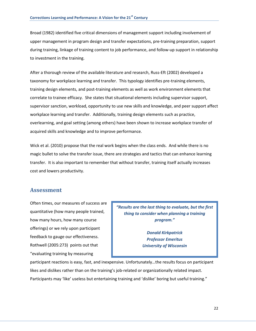Broad (1982) identified five critical dimensions of management support including involvement of upper management in program design and transfer expectations, pre-training preparation, support during training, linkage of training content to job performance, and follow-up support in relationship to investment in the training.

After a thorough review of the available literature and research, Russ-Eft (2002) developed a taxonomy for workplace learning and transfer. This typology identifies pre-training elements, training design elements, and post-training elements as well as work environment elements that correlate to trainee efficacy. She states that situational elements including supervisor support, supervisor sanction, workload, opportunity to use new skills and knowledge, and peer support affect workplace learning and transfer. Additionally, training design elements such as practice, overlearning, and goal setting (among others) have been shown to increase workplace transfer of acquired skills and knowledge and to improve performance.

Wick et al. (2010) propose that the real work begins when the class ends. And while there is no magic bullet to solve the transfer issue, there are strategies and tactics that can enhance learning transfer. It is also important to remember that without transfer, training itself actually increases cost and lowers productivity.

### <span id="page-23-0"></span>**Assessment**

Often times, our measures of success are quantitative (how many people trained, how many hours, how many course offerings) or we rely upon participant feedback to gauge our effectiveness. Rothwell (2005:273) points out that "evaluating training by measuring

*"Results are the last thing to evaluate, but the first thing to consider when planning a training program."* 

> *Donald Kirkpatrick Professor Emeritus University of Wisconsin*

participant reactions is easy, fast, and inexpensive. Unfortunately…the results focus on participant likes and dislikes rather than on the training's job-related or organizationally related impact. Participants may 'like' useless but entertaining training and 'dislike' boring but useful training."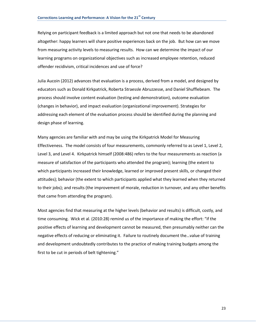Relying on participant feedback is a limited approach but not one that needs to be abandoned altogether: happy learners will share positive experiences back on the job. But how can we move from measuring activity levels to measuring results. How can we determine the impact of our learning programs on organizational objectives such as increased employee retention, reduced offender recidivism, critical incidences and use of force?

Julia Aucoin (2012) advances that evaluation is a process, derived from a model, and designed by educators such as Donald Kirkpatrick, Roberta Straessle Abruzzesse, and Daniel Shufflebeam. The process should involve content evaluation (testing and demonstration), outcome evaluation (changes in behavior), and impact evaluation (organizational improvement). Strategies for addressing each element of the evaluation process should be identified during the planning and design phase of learning.

Many agencies are familiar with and may be using the Kirkpatrick Model for Measuring Effectiveness. The model consists of four measurements, commonly referred to as Level 1, Level 2, Level 3, and Level 4. Kirkpatrick himself (2008:486) refers to the four measurements as reaction (a measure of satisfaction of the participants who attended the program); learning (the extent to which participants increased their knowledge, learned or improved present skills, or changed their attitudes); behavior (the extent to which participants applied what they learned when they returned to their jobs); and results (the improvement of morale, reduction in turnover, and any other benefits that came from attending the program).

Most agencies find that measuring at the higher levels (behavior and results) is difficult, costly, and time consuming. Wick et al. (2010:28) remind us of the importance of making the effort: "if the positive effects of learning and development cannot be measured, then presumably neither can the negative effects of reducing or eliminating it. Failure to routinely document the…value of training and development undoubtedly contributes to the practice of making training budgets among the first to be cut in periods of belt tightening."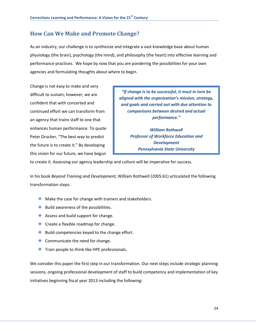# <span id="page-25-0"></span>**How Can We Make and Promote Change?**

As an industry, our challenge is to synthesize and integrate a vast knowledge base about human physiology (the brain), psychology (the mind), and philosophy (the heart) into effective learning and performance practices. We hope by now that you are pondering the possibilities for your own agencies and formulating thoughts about where to begin.

Change is not easy to make and very difficult to sustain; however, we are confident that with concerted and continued effort we can transform from an agency that trains staff to one that enhances human performance. To quote Peter Drucker, "The best way to predict the future is to create it." By developing this vision for our future, we have begun

*"If change is to be successful, it must in turn be aligned with the organization's mission, strategy, and goals and carried out with due attention to comparisons between desired and actual performance."* 

*William Rothwell Professor of Workforce Education and Development Pennsylvania State University*

to create it. Assessing our agency leadership and culture will be imperative for success.

In his book *Beyond Training and Development,* William Rothwell (2005:61) articulated the following transformation steps:

- $\bigoplus$  Make the case for change with trainers and stakeholders.
- $\bigoplus$  Build awareness of the possibilities.
- $\triangleq$  Assess and build support for change.
- $\triangleq$  Create a flexible roadmap for change.
- $\bigoplus$  Build competencies keyed to the change effort.
- $\triangle$  Communicate the need for change.
- $\triangleq$  Train people to think like HPE professionals.

We consider this paper the first step in our transformation. Our next steps include strategic planning sessions, ongoing professional development of staff to build competency and implementation of key initiatives beginning fiscal year 2013 including the following: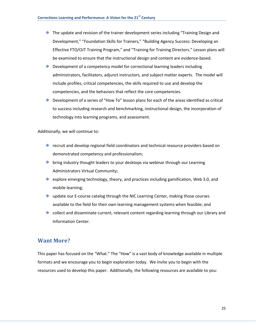- $\triangleq$  The update and revision of the trainer development series including "Training Design and Development," "Foundation Skills for Trainers," "Building Agency Success: Developing an Effective FTO/OJT Training Program," and "Training for Training Directors." Lesson plans will be examined to ensure that the instructional design and content are evidence-based.
- Development of a competency model for correctional learning leaders including administrators, facilitators, adjunct instructors, and subject matter experts. The model will include profiles, critical competencies, the skills required to use and develop the competencies, and the behaviors that reflect the core competencies.
- Development of a series of "How To" lesson plans for each of the areas identified as critical to success including research and benchmarking, instructional design, the incorporation of technology into learning programs, and assessment.

Additionally, we will continue to:

- $\triangle$  recruit and develop regional field coordinators and technical resource providers based on demonstrated competency and professionalism;
- $\triangleq$  bring industry thought leaders to your desktops via webinar through our Learning Administrators Virtual Community;
- $\triangleq$  explore emerging technology, theory, and practices including gamification, Web 3.0, and mobile learning;
- $\triangleq$  update our E-course catalog through the NIC Learning Center, making those courses available to the field for their own learning management systems when feasible; and
- $\triangleq$  collect and disseminate current, relevant content regarding learning through our Library and Information Center.

### <span id="page-26-0"></span>**Want More?**

This paper has focused on the "What." The "How" is a vast body of knowledge available in multiple formats and we encourage you to begin exploration today. We invite you to begin with the resources used to develop this paper. Additionally, the following resources are available to you: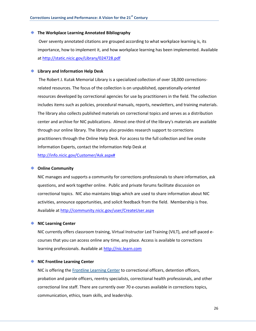#### **The Workplace Learning Annotated Bibliography**

Over seventy annotated citations are grouped according to what workplace learning is, its importance, how to implement it, and how workplace learning has been implemented. Available a[t http://static.nicic.gov/Library/024728.pdf](http://static.nicic.gov/Library/024728.pdf)

#### **Library and Information Help Desk**

The Robert J. Kutak Memorial Library is a specialized collection of over 18,000 correctionsrelated resources. The focus of the collection is on unpublished, operationally-oriented resources developed by correctional agencies for use by practitioners in the field. The collection includes items such as policies, procedural manuals, reports, newsletters, and training materials. The library also collects published materials on correctional topics and serves as a distribution center and archive for NIC publications. Almost one-third of the library's materials are available through our online library. The library also provides research support to corrections practitioners through the Online Help Desk. For access to the full collection and live onsite Information Experts, contact the Information Help Desk at [http://info.nicic.gov/Customer/Ask.aspx#](http://info.nicic.gov/Customer/Ask.aspx)

#### **Online Community**

NIC manages and supports a community for corrections professionals to share information, ask questions, and work together online. Public and private forums facilitate discussion on correctional topics. NIC also maintains blogs which are used to share information about NIC activities, announce opportunities, and solicit feedback from the field. Membership is free. Available a[t http://community.nicic.gov/user/CreateUser.aspx](http://community.nicic.gov/user/CreateUser.aspx)

### **NIC Learning Center**

NIC currently offers classroom training, Virtual Instructor Led Training (VILT), and self-paced ecourses that you can access online any time, any place. Access is available to corrections learning professionals. Available at [http://nic.learn.com](http://nic.learn.com/)

### **NIC Frontline Learning Center**

NIC is offering the [Frontline Learning Center](http://nic.learn.com/frontline) to correctional officers, detention officers, probation and parole officers, reentry specialists, correctional health professionals, and other correctional line staff. There are currently over 70 e-courses available in corrections topics, communication, ethics, team skills, and leadership.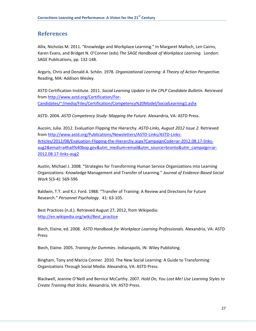# <span id="page-28-0"></span>**References**

Allix, Nicholas M. 2011. "Knowledge and Workplace Learning." In Margaret Malloch, Len Cairns, Karen Evans, and Bridget N. O'Conner (eds) *The SAGE Handbook of Workplace Learning*. London: SAGE Publications, pp. 132-148.

Argyris, Chris and Donald A. Schön. 1978. *Organizational Learning: A Theory of Action Perspective.*  Reading, MA: Addison Wesley.

ASTD Certification Institute. 2011. *Social Learning Update to the CPLP Candidate Bulletin.* Retrieved from [http://www.astd.org/Certification/For-](http://www.astd.org/Certification/For-Candidates/~/media/Files/Certification/Competency%20Model/SocialLearning1.ashx)[Candidates/~/media/Files/Certification/Competency%20Model/SocialLearning1.ashx](http://www.astd.org/Certification/For-Candidates/~/media/Files/Certification/Competency%20Model/SocialLearning1.ashx)

ASTD. 2004. *ASTD Competency Study: Mapping the Future*. Alexandria, VA: ASTD Press.

Aucoin, Julia. 2012. Evaluation Flipping the Hierarchy. *ASTD-Links, August 2012 Issue 2.* Retrieved from [http://www.astd.org/Publications/Newsletters/ASTD-Links/ASTD-Links-](http://www.astd.org/Publications/Newsletters/ASTD-Links/ASTD-Links-Articles/2012/08/Evaluation-Flipping-the-Hierarchy.aspx?CampaignCode=ar-2012.08.17-links-aug2&email=a4hall%40bop.gov&utm_medium=email&utm_source=bronto&utm_campaign=ar-2012.08.17-links-aug2)[Articles/2012/08/Evaluation-Flipping-the-Hierarchy.aspx?CampaignCode=ar-2012.08.17-links](http://www.astd.org/Publications/Newsletters/ASTD-Links/ASTD-Links-Articles/2012/08/Evaluation-Flipping-the-Hierarchy.aspx?CampaignCode=ar-2012.08.17-links-aug2&email=a4hall%40bop.gov&utm_medium=email&utm_source=bronto&utm_campaign=ar-2012.08.17-links-aug2)[aug2&email=a4hall%40bop.gov&utm\\_medium=email&utm\\_source=bronto&utm\\_campaign=ar-](http://www.astd.org/Publications/Newsletters/ASTD-Links/ASTD-Links-Articles/2012/08/Evaluation-Flipping-the-Hierarchy.aspx?CampaignCode=ar-2012.08.17-links-aug2&email=a4hall%40bop.gov&utm_medium=email&utm_source=bronto&utm_campaign=ar-2012.08.17-links-aug2)[2012.08.17-links-aug2](http://www.astd.org/Publications/Newsletters/ASTD-Links/ASTD-Links-Articles/2012/08/Evaluation-Flipping-the-Hierarchy.aspx?CampaignCode=ar-2012.08.17-links-aug2&email=a4hall%40bop.gov&utm_medium=email&utm_source=bronto&utm_campaign=ar-2012.08.17-links-aug2)

Austin, Michael J. 2008. "Strategies for Transforming Human Service Organizations into Learning Organizations: Knowledge Management and Transfer of Learning." *Journal of Evidence-Based Social Work* 5(3-4): 569-596

Baldwin, T.T. and K.J. Ford. 1988. "Transfer of Training: A Review and Directions for Future Research." *Personnel Psychology*. 41: 63-105.

Best Practices (n.d.). Retrieved August 27, 2012, from Wikipedia: [http://en.wikipedia.org/wiki/Best\\_practice](http://en.wikipedia.org/wiki/Best_practice)

Biech, Elaine, ed. 2008. *ASTD Handbook for Workplace Learning Professionals*. Alexandria, VA: ASTD Press

Biech, Elaine. 2005. *Training for Dummies*. Indianapolis, IN: Wiley Publishing.

Bingham, Tony and Marcia Conner. 2010. The New Social Learning: A Guide to Transforming Organizations Through Social Media. Alexandria, VA: ASTD Press.

Blackwell, Jeanine O'Neill and Bernice McCarthy. 2007. *Hold On, You Lost Me! Use Learning Styles to Create Training that Sticks*. Alexandria, VA: ASTD Press.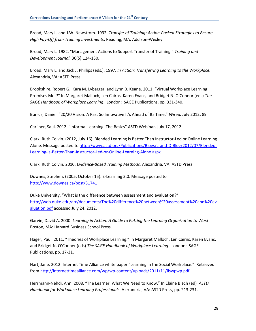Broad, Mary L. and J.W. Newstrom. 1992. *Transfer of Training: Action-Packed Strategies to Ensure High Pay-Off from Training Investments*. Reading, MA: Addison-Wesley.

Broad, Mary L. 1982. "Management Actions to Support Transfer of Training." *Training and Development Journal.* 36(5):124-130.

Broad, Mary L. and Jack J. Phillips (eds.). 1997. *In Action: Transferring Learning to the Workplace.*  Alexandria, VA: ASTD Press.

Brookshire, Robert G., Kara M. Lybarger, and Lynn B. Keane. 2011. "Virtual Workplace Learning: Promises Met?" In Margaret Malloch, Len Cairns, Karen Evans, and Bridget N. O'Connor (eds) *The SAGE Handbook of Workplace Learning*. London: SAGE Publications, pp. 331-340.

Burrus, Daniel. "20/20 Vision: A Past So Innovative It's Ahead of Its Time." *Wired,* July 2012: 89

Carliner, Saul. 2012. "Informal Learning: The Basics" ASTD Webinar. July 17, 2012

Clark, Ruth Colvin. (2012, July 16). Blended Learning is Better Than Instructor-Led or Online Learning Alone. Message posted to [http://www.astd.org/Publications/Blogs/L-and-D-Blog/2012/07/Blended-](http://www.astd.org/Publications/Blogs/L-and-D-Blog/2012/07/Blended-Learning-Is-Better-Than-Instructor-Led-or-Online-Learning-Alone.aspx)[Learning-Is-Better-Than-Instructor-Led-or-Online-Learning-Alone.aspx](http://www.astd.org/Publications/Blogs/L-and-D-Blog/2012/07/Blended-Learning-Is-Better-Than-Instructor-Led-or-Online-Learning-Alone.aspx)

Clark, Ruth Colvin. 2010. *Evidence-Based Training Methods.* Alexandria, VA: ASTD Press.

Downes, Stephen. (2005, October 15). E-Learning 2.0. Message posted to <http://www.downes.ca/post/31741>

Duke University. "What is the difference between assessment and evaluation?" [http://web.duke.edu/arc/documents/The%20difference%20between%20assessment%20and%20ev](http://web.duke.edu/arc/documents/The%20difference%20between%20assessment%20and%20evaluation.pdf) [aluation.pdf](http://web.duke.edu/arc/documents/The%20difference%20between%20assessment%20and%20evaluation.pdf) accessed July 24, 2012.

Garvin, David A. 2000. *Learning in Action: A Guide to Putting the Learning Organization to Work*. Boston, MA: Harvard Business School Press.

Hager, Paul. 2011. "Theories of Workplace Learning." In Margaret Malloch, Len Cairns, Karen Evans, and Bridget N. O'Conner (eds) *The SAGE Handbook of Workplace Learning*. London: SAGE Publications, pp. 17-31.

Hart, Jane. 2012. Internet Time Alliance white paper "Learning in the Social Workplace." Retrieved from<http://internettimealliance.com/wp/wp-content/uploads/2011/11/liswpwp.pdf>

Herrmann-Nehdi, Ann. 2008. "The Learner: What We Need to Know." In Elaine Biech (ed) *ASTD Handbook for Workplace Learning Professionals*. Alexandria, VA: ASTD Press, pp. 213-231.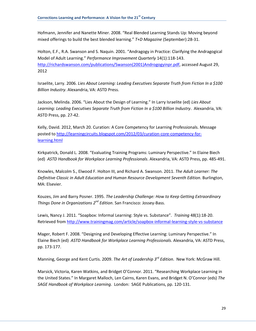Hofmann, Jennifer and Nanette Miner. 2008. "Real Blended Learning Stands Up: Moving beyond mixed offerings to build the best blended learning." *T+D Magazine* (September):28-31.

Holton, E.F., R.A. Swanson and S. Naquin. 2001. "Andragogy in Practice: Clarifying the Andragogical Model of Adult Learning." *Performance Improvement Quarterly* 14(1):118-143. [http://richardswanson.com/publications/Swanson\(2001\)Androgogyinpr.pdf,](http://richardswanson.com/publications/Swanson(2001)Androgogyinpr.pdf) accessed August 29, 2012

Israelite, Larry. 2006. *Lies About Learning: Leading Executives Separate Truth from Fiction In a \$100 Billion Industry*. Alexandria, VA: ASTD Press.

Jackson, Melinda. 2006. "Lies About the Design of Learning." In Larry Israelite (ed) *Lies About Learning: Leading Executives Separate Truth from Fiction In a \$100 Billion Industry*. Alexandria, VA: ASTD Press, pp. 27-42.

Kelly, David. 2012, March 20. Curation: A Core Competency for Learning Professionals. Message posted to [http://learningcircuits.blogspot.com/2012/03/curation-core-competency-for](http://learningcircuits.blogspot.com/2012/03/curation-core-competency-for-learning.html)[learning.html](http://learningcircuits.blogspot.com/2012/03/curation-core-competency-for-learning.html)

Kirkpatrick, Donald L. 2008. "Evaluating Training Programs: Luminary Perspective." In Elaine Biech (ed) *ASTD Handbook for Workplace Learning Professionals*. Alexandria, VA: ASTD Press, pp. 485-491.

Knowles, Malcolm S., Elwood F. Holton III, and Richard A. Swanson. 2011. *The Adult Learner: The Definitive Classic in Adult Education and Human Resource Development Seventh Edition*. Burlington, MA: Elsevier.

Kouzes, Jim and Barry Posner. 1995. *The Leadership Challenge: How to Keep Getting Extraordinary Things Done in Organizations 2nd Edition*. San Francisco: Jossey-Bass.

Lewis, Nancy J. 2011. "Soapbox: Informal Learning: Style vs. Substance". *Training* 48(1):18-20. Retrieved from<http://www.trainingmag.com/article/soapbox-informal-learning-style-vs-substance>

Mager, Robert F. 2008. "Designing and Developing Effective Learning: Luminary Perspective." In Elaine Biech (ed) *ASTD Handbook for Workplace Learning Professionals*. Alexandria, VA: ASTD Press, pp. 173-177.

Manning, George and Kent Curtis. 2009. *The Art of Leadership 3rd Edition*. New York: McGraw Hill.

Marsick, Victoria, Karen Watkins, and Bridget O'Connor. 2011. "Researching Workplace Learning in the United States." In Margaret Malloch, Len Cairns, Karen Evans, and Bridget N. O'Connor (eds) *The SAGE Handbook of Workplace Learning*. London: SAGE Publications, pp. 120-131.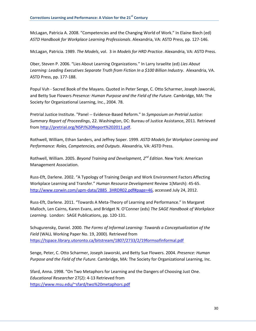McLagan, Patricia A. 2008. "Competencies and the Changing World of Work." In Elaine Biech (ed) *ASTD Handbook for Workplace Learning Professionals*. Alexandria, VA: ASTD Press, pp. 127-146.

McLagan, Patricia. 1989. *The Models*, vol. 3 in *Models for HRD Practice*. Alexandria, VA: ASTD Press.

Ober, Steven P. 2006. "Lies About Learning Organizations." In Larry Israelite (ed) *Lies About Learning: Leading Executives Separate Truth from Fiction In a \$100 Billion Industry*. Alexandria, VA. ASTD Press, pp. 177-188.

Popul Vuh - Sacred Book of the Mayans. Quoted in Peter Senge, C. Otto Scharmer, Joseph Jaworski, and Betty Sue Flowers *Presence: Human Purpose and the Field of the Future.* Cambridge, MA: The Society for Organizational Learning, Inc., 2004. 78.

Pretrial Justice Institute. "Panel -- Evidence-Based Reform." In *Symposium on Pretrial Justice: Summary Report of Proceedings*, 22. Washington, DC: Bureau of Justice Assistance, 2011. Retrieved from [http://pretrial.org/NSPJ%20Report%202011.pdf.](http://pretrial.org/NSPJ%20Report%202011.pdf)

Rothwell, William, Ethan Sanders, and Jeffrey Soper. 1999. *ASTD Models for Workplace Learning and Performance: Roles, Competencies, and Outputs*. Alexandria, VA: ASTD Press.

Rothwell, William. 2005. *Beyond Training and Development, 2nd Edition*. New York: American Management Association.

Russ-Eft, Darlene. 2002. "A Typology of Training Design and Work Environment Factors Affecting Workplace Learning and Transfer." *Human Resource Development* Review 1(March): 45-65. [http://www.corwin.com/upm-data/2885\\_3HRDR02.pdf#page=46,](http://www.corwin.com/upm-data/2885_3HRDR02.pdf#page=46) accessed July 24, 2012.

Russ-Eft, Darlene. 2011. "Towards A Meta-Theory of Learning and Performance." In Margaret Malloch, Len Cairns, Karen Evans, and Bridget N. O'Conner (eds) *The SAGE Handbook of Workplace Learning*. London: SAGE Publications, pp. 120-131.

Schugurensky, Daniel. 2000. *The Forms of Informal Learning: Towards a Conceptualization of the Field* (WALL Working Paper No. 19, 2000). Retrieved from <https://tspace.library.utoronto.ca/bitstream/1807/2733/2/19formsofinformal.pdf>

Senge, Peter, C. Otto Scharmer, Joseph Jaworski, and Betty Sue Flowers. 2004. *Presence: Human Purpose and the Field of the Future.* Cambridge, MA: The Society for Organizational Learning, Inc.

Sfard, Anna. 1998. "On Two Metaphors for Learning and the Dangers of Choosing Just One. *Educational Researcher* 27(2): 4-13 Retrieved from <https://www.msu.edu/~sfard/two%20metaphors.pdf>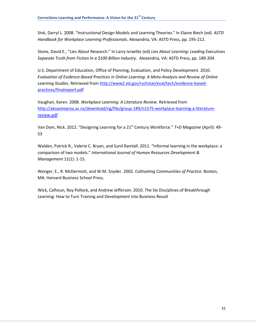Sink, Darryl L. 2008. "Instructional Design Models and Learning Theories." In Elaine Biech (ed) *ASTD Handbook for Workplace Learning Professionals*. Alexandria, VA: ASTD Press, pp. 195-212.

Stone, David E., "Lies About Research." In Larry Israelite (ed) *Lies About Learning: Leading Executives Separate Truth from Fiction In a \$100 Billion Industry*. Alexandria, VA: ASTD Press, pp. 189-204.

U.S. Department of Education, Office of Planning, Evaluation, and Policy Development. 2010. *Evaluation of Evidence-Based Practices in Online Learning: A Meta-Analysis and Review of Online Learning Studies.* Retrieved fro[m http://www2.ed.gov/rschstat/eval/tech/evidence-based](http://www2.ed.gov/rschstat/eval/tech/evidence-based-practices/finalreport.pdf)[practices/finalreport.pdf](http://www2.ed.gov/rschstat/eval/tech/evidence-based-practices/finalreport.pdf)

Vaughan, Karen. 2008. *Workplace Learning: A Literature Review*. Retrieved from [http://akoaotearoa.ac.nz/download/ng/file/group-189/n1575-workplace-learning-a-literature](http://akoaotearoa.ac.nz/download/ng/file/group-189/n1575-workplace-learning-a-literature-review.pdf)[review.pdf](http://akoaotearoa.ac.nz/download/ng/file/group-189/n1575-workplace-learning-a-literature-review.pdf)

Van Dam, Nick. 2012. "Designing Learning for a 21<sup>st</sup> Century Workforce." *T+D Magazine* (April): 49-53

Walden, Patrick R., Valerie C. Bryan, and Sunil Ramlall. 2011. "Informal learning in the workplace: a comparison of two models." *International Journal of Human Resources Development & Management* 11(1): 1-15.

Wenger, E., R. McDermott, and W.M. Snyder. 2002. *Cultivating Communities of Practice.* Boston, MA: Harvard Business School Press.

Wick, Calhoun, Roy Pollock, and Andrew Jefferson. 2010. The Six Disciplines of Breakthrough Learning: How to Turn Training and Development into Business Result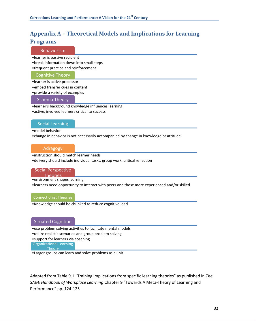# <span id="page-33-0"></span>**Appendix A – Theoretical Models and Implications for Learning Programs**

### **Behaviorism**

- •learner is passive recipient
- •break information down into small steps
- •frequent practice and reinforcement

#### Cognitive Theory

- •learner is active processor
- •embed transfer cues in content

•provide a variety of examples

#### Schema Theory

- •learner's background knowledge influences learning
- •active, involved learners critical to success

### Social Learning

#### •model behavior

•change in behavior is not necessarily accompanied by change in knowledge or attitude

### Adragogy

•instruction should match learner needs

•delivery should include individual tasks, group work, critical reflection

### Social Perspective

Theories

•environment shapes learning

•learners need opportunity to interact with peers and those more experienced and/or skilled

#### Connectionist Theories

•Knowledge should be chunked to reduce cognitive load

### Situated Cognition

- •use problem solving activities to facilitate mental models
- •utilize realistic scenarios and group problem solving

•support for learners via coaching

Organizational Learning **Theory** 

•Larger groups can learn and solve problems as a unit

Adapted from Table 9.1 "Training implications from specific learning theories" as published in *The SAGE Handbook of Workplace Learning* Chapter 9 "Towards A Meta-Theory of Learning and Performance" pp. 124-125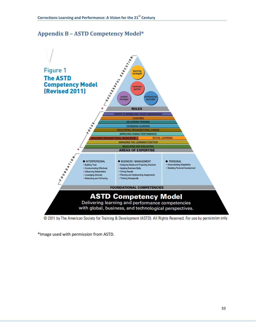# <span id="page-34-0"></span>**Appendix B – ASTD Competency Model\***



© 2011 by The American Society for Training & Development (ASTD). All Rights Reserved. For use by permission only.

\*Image used with permission from ASTD.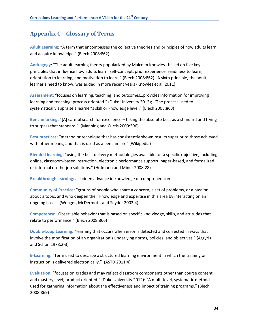# <span id="page-35-0"></span>**Appendix C – Glossary of Terms**

**Adult Learning**: "A term that encompasses the collective theories and principles of how adults learn and acquire knowledge." (Biech 2008:862)

**Andragogy**: "The adult learning theory popularized by Malcolm Knowles…based on five key principles that influence how adults learn: self-concept, prior experience, readiness to learn, orientation to learning, and motivation to learn." (Biech 2008:862) A sixth principle, the adult learner's need to know, was added in more recent years (Knowles et al. 2011)

**Assessment:** "focuses on learning, teaching, and outcomes…provides information for improving learning and teaching; process oriented." (Duke University 2012); "The process used to systematically appraise a learner's skill or knowledge level." (Biech 2008:863)

Benchmarking: "[A] careful search for excellence – taking the absolute best as a standard and trying to surpass that standard." (Manning and Curtis 2009:396)

**Best practices:** "method or technique that has consistently shown results superior to those achieved with other means, and that is used as a benchmark." (Wikipedia)

**Blended learning:** "using the best delivery methodologies available for a specific objective, including online, classroom-based instruction, electronic performance support, paper-based, and formalized or informal on-the-job solutions." (Hofmann and Miner 2008:28)

**Breakthrough learning:** a sudden advance in knowledge or comprehension.

**Community of Practice:** "groups of people who share a concern, a set of problems, or a passion about a topic, and who deepen their knowledge and expertise in this area by interacting on an ongoing basis." (Wenger, McDermott, and Snyder 2002:4)

**Competency:** "Observable behavior that is based on specific knowledge, skills, and attitudes that relate to performance." (Biech 2008:866)

**Double-Loop Learning:** "learning that occurs when error is detected and corrected in ways that involve the modification of an organization's underlying norms, policies, and objectives." (Argyris and Schön 1978:2-3)

**E-Learning:** "Term used to describe a structured learning environment in which the training or instruction is delivered electronically." (ASTD 2011:4)

**Evaluation:** "focuses on grades and may reflect classroom components other than course content and mastery level; product oriented." (Duke University 2012): "A multi-level, systematic method used for gathering information about the effectiveness and impact of training programs." (Biech 2008:869)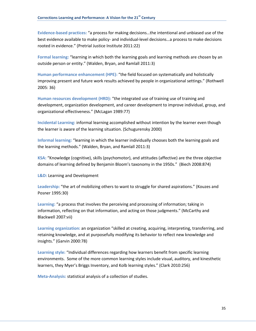**Evidence-based practices:** "a process for making decisions…the intentional and unbiased use of the best evidence available to make policy- and individual-level decisions…a process to make decisions rooted in evidence." (Pretrial Justice Institute 2011:22)

**Formal learning:** "learning in which both the learning goals and learning methods are chosen by an outside person or entity." (Walden, Bryan, and Ramlall 2011:3)

**Human performance enhancement (HPE):** "the field focused on systematically and holistically improving present and future work results achieved by people in organizational settings." (Rothwell 2005: 36)

**Human resources development (HRD):** "the integrated use of training use of training and development, organization development, and career development to improve individual, group, and organizational effectiveness." (McLagan 1989:77)

**Incidental Learning:** informal learning accomplished without intention by the learner even though the learner is aware of the learning situation. (Schugurensky 2000)

**Informal learning:** "learning in which the learner individually chooses both the learning goals and the learning methods." (Walden, Bryan, and Ramlall 2011:3)

**KSA:** "Knowledge (cognitive), skills (psychomotor), and attitudes (affective) are the three objective domains of learning defined by Benjamin Bloom's taxonomy in the 1950s." (Biech 2008:874)

**L&D:** Learning and Development

**Leadership:** "the art of mobilizing others to want to struggle for shared aspirations." (Kouzes and Posner 1995:30)

**Learning:** "a process that involves the perceiving and processing of information; taking in information, reflecting on that information, and acting on those judgments." (McCarthy and Blackwell 2007:vii)

**Learning organization:** an organization "skilled at creating, acquiring, interpreting, transferring, and retaining knowledge, and at purposefully modifying its behavior to reflect new knowledge and insights." (Garvin 2000:78)

**Learning style:** "Individual differences regarding how learners benefit from specific learning environments. Some of the more common learning styles include visual, auditory, and kinesthetic learners, they Myer's Briggs Inventory, and Kolb learning styles." (Clark 2010:256)

**Meta-Analysis:** statistical analysis of a collection of studies.